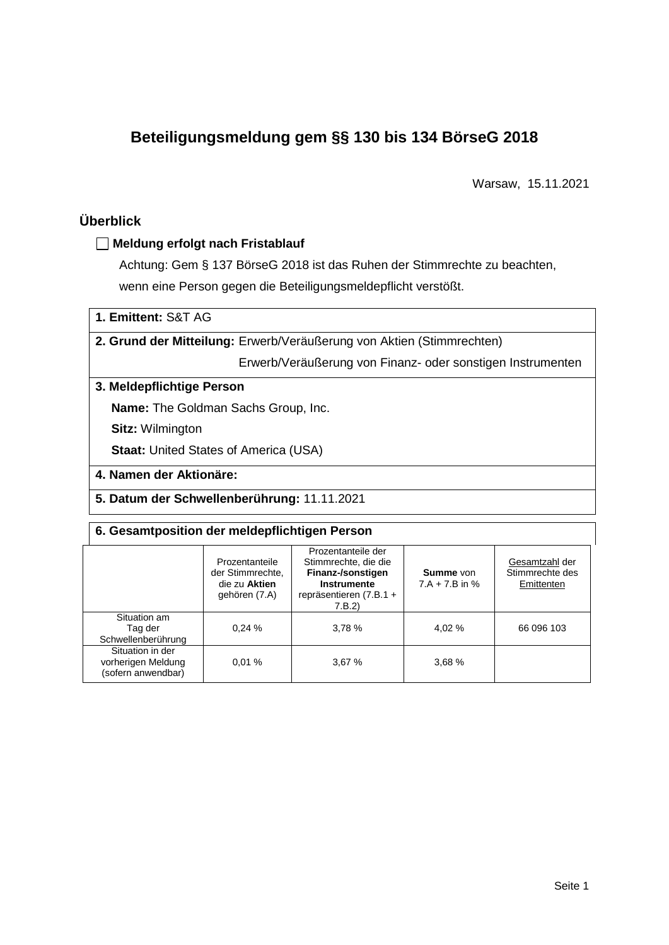# **Beteiligungsmeldung gem §§ 130 bis 134 BörseG 2018**

Warsaw, 15.11.2021

# **Überblick**

# **Meldung erfolgt nach Fristablauf**

Achtung: Gem § 137 BörseG 2018 ist das Ruhen der Stimmrechte zu beachten, wenn eine Person gegen die Beteiligungsmeldepflicht verstößt.

| 1. Emittent: S&T AG |  |
|---------------------|--|
|---------------------|--|

**2. Grund der Mitteilung:** Erwerb/Veräußerung von Aktien (Stimmrechten)

Erwerb/Veräußerung von Finanz- oder sonstigen Instrumenten

### **3. Meldepflichtige Person**

**Name:** The Goldman Sachs Group, Inc.

**Sitz:** Wilmington

**Staat: United States of America (USA)** 

## **4. Namen der Aktionäre:**

**5. Datum der Schwellenberührung:** 11.11.2021

### **6. Gesamtposition der meldepflichtigen Person**

|                                                              | Prozentanteile<br>der Stimmrechte.<br>die zu Aktien<br>gehören (7.A) | Prozentanteile der<br>Stimmrechte, die die<br>Finanz-/sonstigen<br><b>Instrumente</b><br>repräsentieren (7.B.1 +<br>7.B.2) | <b>Summe</b> von<br>$7.A + 7.B$ in % | Gesamtzahl der<br>Stimmrechte des<br>Emittenten |
|--------------------------------------------------------------|----------------------------------------------------------------------|----------------------------------------------------------------------------------------------------------------------------|--------------------------------------|-------------------------------------------------|
| Situation am<br>Tag der<br>Schwellenberührung                | 0.24%                                                                | 3,78 %                                                                                                                     | 4.02 %                               | 66 096 103                                      |
| Situation in der<br>vorherigen Meldung<br>(sofern anwendbar) | 0.01%                                                                | 3,67%                                                                                                                      | 3,68%                                |                                                 |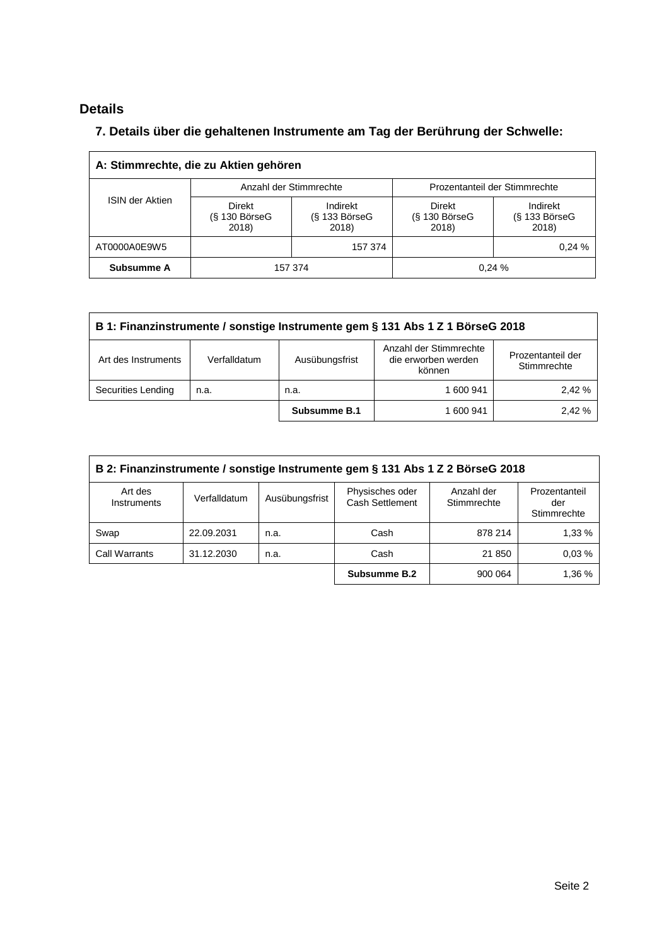# **Details**

# **7. Details über die gehaltenen Instrumente am Tag der Berührung der Schwelle:**

| A: Stimmrechte, die zu Aktien gehören |                                    |                                                         |                                           |                                      |  |  |
|---------------------------------------|------------------------------------|---------------------------------------------------------|-------------------------------------------|--------------------------------------|--|--|
|                                       |                                    | Anzahl der Stimmrechte<br>Prozentanteil der Stimmrechte |                                           |                                      |  |  |
| <b>ISIN der Aktien</b>                | Direkt<br>$(S$ 130 BörseG<br>2018) | Indirekt<br>$(S$ 133 BörseG<br>2018)                    | <b>Direkt</b><br>$(S$ 130 BörseG<br>2018) | Indirekt<br>$(S$ 133 BörseG<br>2018) |  |  |
| AT0000A0E9W5                          |                                    | 157 374                                                 |                                           | 0.24%                                |  |  |
| Subsumme A                            |                                    | 157 374                                                 |                                           | 0.24%                                |  |  |

| B 1: Finanzinstrumente / sonstige Instrumente gem § 131 Abs 1 Z 1 BörseG 2018 |                                                                                                                               |              |           |       |  |
|-------------------------------------------------------------------------------|-------------------------------------------------------------------------------------------------------------------------------|--------------|-----------|-------|--|
| Art des Instruments                                                           | Anzahl der Stimmrechte<br>Prozentanteil der<br>die erworben werden<br>Ausübungsfrist<br>Verfalldatum<br>Stimmrechte<br>können |              |           |       |  |
| Securities Lending                                                            | n.a.                                                                                                                          | n.a.         | 1 600 941 | 2.42% |  |
|                                                                               |                                                                                                                               | Subsumme B.1 | 1 600 941 | 2.42% |  |

| B 2: Finanzinstrumente / sonstige Instrumente gem § 131 Abs 1 Z 2 BörseG 2018                                                                                             |            |      |              |         |        |  |
|---------------------------------------------------------------------------------------------------------------------------------------------------------------------------|------------|------|--------------|---------|--------|--|
| Physisches oder<br>Anzahl der<br>Art des<br>Prozentanteil<br>Ausübungsfrist<br>Verfalldatum<br>Cash Settlement<br>Stimmrechte<br><b>Instruments</b><br>der<br>Stimmrechte |            |      |              |         |        |  |
| Swap                                                                                                                                                                      | 22.09.2031 | n.a. | Cash         | 878 214 | 1,33 % |  |
| Call Warrants                                                                                                                                                             | 31.12.2030 | n.a. | Cash         | 21 850  | 0.03%  |  |
|                                                                                                                                                                           |            |      | Subsumme B.2 | 900 064 | 1,36 % |  |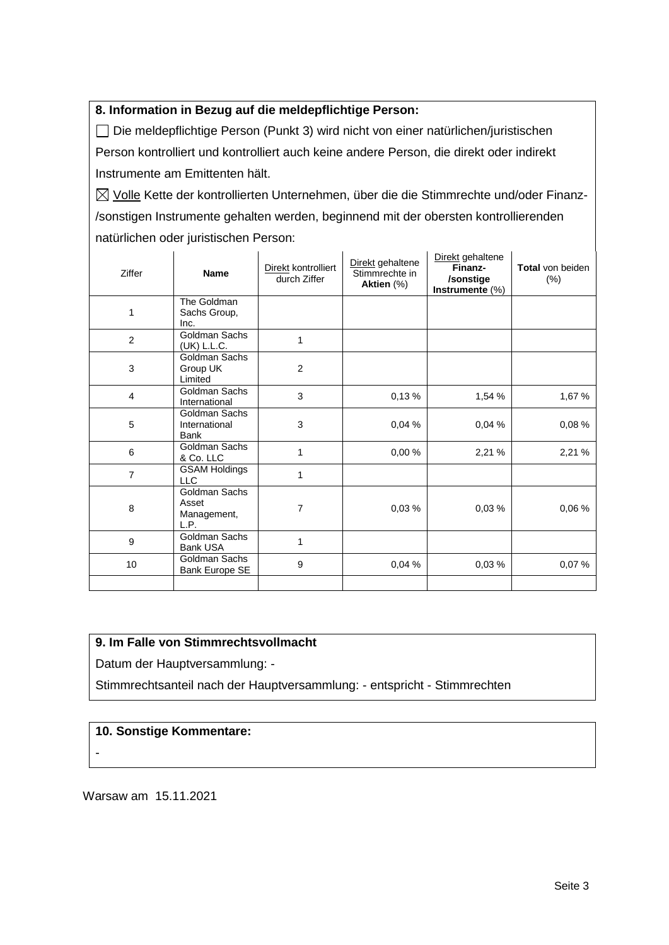## **8. Information in Bezug auf die meldepflichtige Person:**

Die meldepflichtige Person (Punkt 3) wird nicht von einer natürlichen/juristischen Person kontrolliert und kontrolliert auch keine andere Person, die direkt oder indirekt Instrumente am Emittenten hält.

 $\boxtimes$  Volle Kette der kontrollierten Unternehmen, über die die Stimmrechte und/oder Finanz-/sonstigen Instrumente gehalten werden, beginnend mit der obersten kontrollierenden natürlichen oder juristischen Person:

| Ziffer         | <b>Name</b>                                   | Direkt kontrolliert<br>durch Ziffer | Direkt gehaltene<br>Stimmrechte in<br>Aktien (%) | Direkt gehaltene<br>Finanz-<br>/sonstige<br>Instrumente $(\%)$ | Total von beiden<br>$(\%)$ |
|----------------|-----------------------------------------------|-------------------------------------|--------------------------------------------------|----------------------------------------------------------------|----------------------------|
| 1              | The Goldman<br>Sachs Group,<br>Inc.           |                                     |                                                  |                                                                |                            |
| $\overline{2}$ | Goldman Sachs<br>(UK) L.L.C.                  | 1                                   |                                                  |                                                                |                            |
| 3              | Goldman Sachs<br>Group UK<br>Limited          | $\overline{2}$                      |                                                  |                                                                |                            |
| 4              | Goldman Sachs<br>International                | 3                                   | 0,13%                                            | 1,54 %                                                         | 1,67 %                     |
| 5              | Goldman Sachs<br>International<br><b>Bank</b> | 3                                   | 0,04%                                            | 0,04%                                                          | 0,08%                      |
| 6              | Goldman Sachs<br>& Co. LLC                    | 1                                   | 0,00%                                            | 2,21 %                                                         | 2,21 %                     |
| $\overline{7}$ | <b>GSAM Holdings</b><br><b>LLC</b>            | 1                                   |                                                  |                                                                |                            |
| 8              | Goldman Sachs<br>Asset<br>Management,<br>L.P. | 7                                   | 0,03%                                            | 0,03%                                                          | 0,06%                      |
| 9              | Goldman Sachs<br><b>Bank USA</b>              | 1                                   |                                                  |                                                                |                            |
| 10             | Goldman Sachs<br>Bank Europe SE               | 9                                   | 0,04%                                            | 0,03%                                                          | 0,07 %                     |
|                |                                               |                                     |                                                  |                                                                |                            |

# **9. Im Falle von Stimmrechtsvollmacht**

Datum der Hauptversammlung: -

Stimmrechtsanteil nach der Hauptversammlung: - entspricht - Stimmrechten

#### **10. Sonstige Kommentare:**

-

Warsaw am 15.11.2021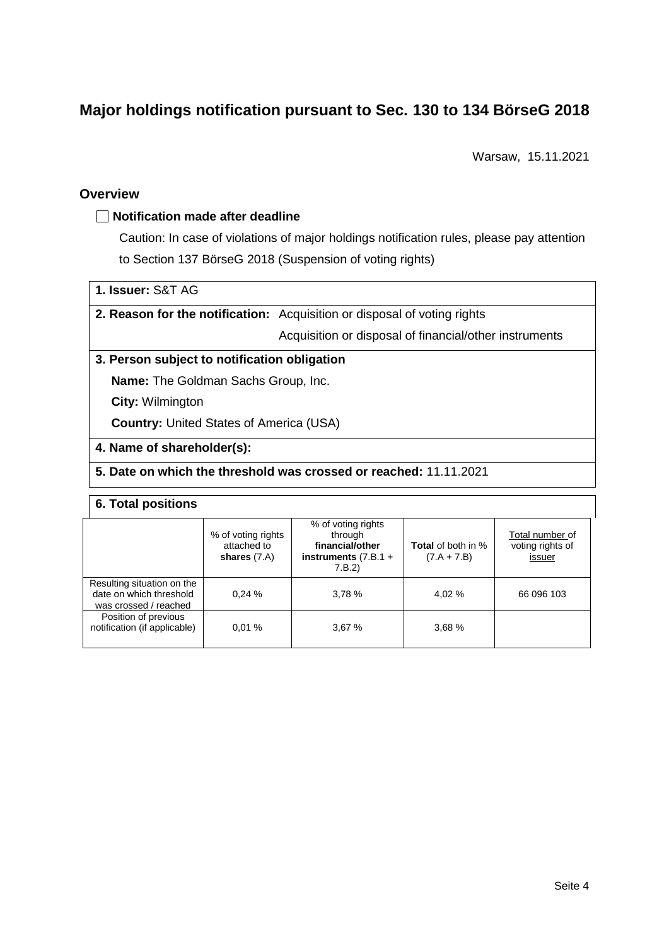# **Major holdings notification pursuant to Sec. 130 to 134 BörseG 2018**

Warsaw, 15.11.2021

### **Overview**

## **Notification made after deadline**

Caution: In case of violations of major holdings notification rules, please pay attention to Section 137 BörseG 2018 (Suspension of voting rights)

# **1. Issuer:** S&T AG

**2. Reason for the notification:** Acquisition or disposal of voting rights

Acquisition or disposal of financial/other instruments

#### **3. Person subject to notification obligation**

**Name:** The Goldman Sachs Group, Inc.

**City:** Wilmington

**Country:** United States of America (USA)

#### **4. Name of shareholder(s):**

#### **5. Date on which the threshold was crossed or reached:** 11.11.2021

#### **6. Total positions**

|                                                                                | % of voting rights<br>attached to<br>shares $(7.A)$ | % of voting rights<br>through<br>financial/other<br>instruments $(7.B.1 +$<br>7.B.2) | <b>Total</b> of both in %<br>$(7.A + 7.B)$ | Total number of<br>voting rights of<br>issuer |
|--------------------------------------------------------------------------------|-----------------------------------------------------|--------------------------------------------------------------------------------------|--------------------------------------------|-----------------------------------------------|
| Resulting situation on the<br>date on which threshold<br>was crossed / reached | 0.24%                                               | 3,78 %                                                                               | 4.02 %                                     | 66 096 103                                    |
| Position of previous<br>notification (if applicable)                           | 0.01%                                               | 3,67%                                                                                | 3,68 %                                     |                                               |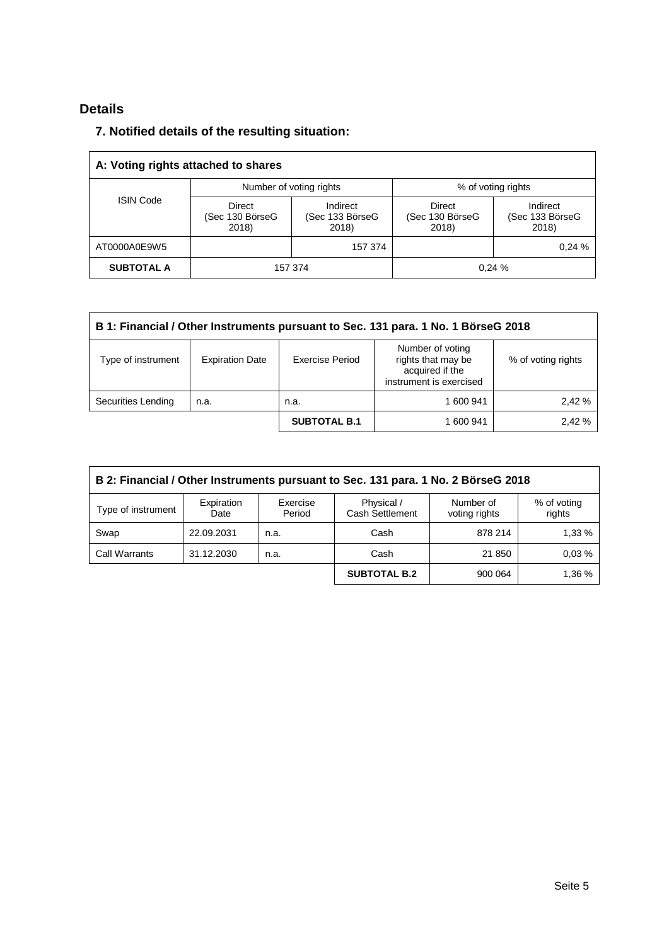# **Details**

# **7. Notified details of the resulting situation:**

| A: Voting rights attached to shares |                                    |                                      |                                    |                                      |  |  |
|-------------------------------------|------------------------------------|--------------------------------------|------------------------------------|--------------------------------------|--|--|
|                                     |                                    | Number of voting rights              | % of voting rights                 |                                      |  |  |
| <b>ISIN Code</b>                    | Direct<br>(Sec 130 BörseG<br>2018) | Indirect<br>(Sec 133 BörseG<br>2018) | Direct<br>(Sec 130 BörseG<br>2018) | Indirect<br>(Sec 133 BörseG<br>2018) |  |  |
| AT0000A0E9W5                        |                                    | 157 374                              |                                    | 0.24%                                |  |  |
| <b>SUBTOTAL A</b>                   |                                    | 157 374                              |                                    | 0.24%                                |  |  |

| B 1: Financial / Other Instruments pursuant to Sec. 131 para. 1 No. 1 BörseG 2018 |                        |                     |                                                                                      |                    |  |
|-----------------------------------------------------------------------------------|------------------------|---------------------|--------------------------------------------------------------------------------------|--------------------|--|
| Type of instrument                                                                | <b>Expiration Date</b> | Exercise Period     | Number of voting<br>rights that may be<br>acquired if the<br>instrument is exercised | % of voting rights |  |
| Securities Lending                                                                | n.a.                   | n.a.                | 1 600 941                                                                            | 2.42%              |  |
|                                                                                   |                        | <b>SUBTOTAL B.1</b> | 1 600 941                                                                            | 2,42 %             |  |

| B 2: Financial / Other Instruments pursuant to Sec. 131 para. 1 No. 2 BörseG 2018                                                                             |            |      |                     |         |        |  |  |
|---------------------------------------------------------------------------------------------------------------------------------------------------------------|------------|------|---------------------|---------|--------|--|--|
| Expiration<br>Physical /<br>Exercise<br>Number of<br>% of voting<br>Type of instrument<br><b>Cash Settlement</b><br>rights<br>Period<br>voting rights<br>Date |            |      |                     |         |        |  |  |
| Swap                                                                                                                                                          | 22.09.2031 | n.a. | Cash                | 878 214 | 1,33 % |  |  |
| <b>Call Warrants</b>                                                                                                                                          | 31.12.2030 | n.a. | Cash                | 21 850  | 0.03%  |  |  |
|                                                                                                                                                               |            |      | <b>SUBTOTAL B.2</b> | 900 064 | 1,36 % |  |  |